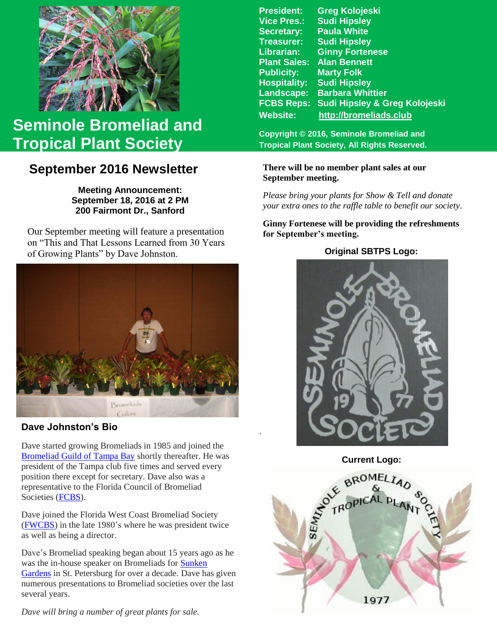

# **Seminole Bromeliad and Tropical Plant Society**

## **September 2016 Newsletter**

**Meeting Announcement: September 18, 2016 at 2 PM 200 Fairmont Dr., Sanford**

 of Growing Plants" by Dave Johnston. Our September meeting will feature a presentation on "This and That Lessons Learned from 30 Years



### **Dave Johnston's Bio**

Dave started growing Bromeliads in 1985 and joined the [Bromeliad Guild of Tampa Bay](http://www.bromeliadguildoftampabay.org/) shortly thereafter. He was president of the Tampa club five times and served every position there except for secretary. Dave also was a representative to the Florida Council of Bromeliad Societies [\(FCBS\)](http://fcbs.org/).

Dave joined the Florida West Coast Bromeliad Society [\(FWCBS\)](http://floridabromeliads.org/) in the late 1980's where he was president twice as well as being a director.

Dave's Bromeliad speaking began about 15 years ago as he was the in-house speaker on Bromeliads for [Sunken](http://www.stpete.org/attractions/sunken_gardens/index.php)  [Gardens](http://www.stpete.org/attractions/sunken_gardens/index.php) in St. Petersburg for over a decade. Dave has given numerous presentations to Bromeliad societies over the last several years.

*Dave will bring a number of great plants for sale.*

**President: Greg Kolojeski Vice Pres.: Sudi Hipsley Secretary: Paula White Treasurer: Sudi Hipsley Librarian: Ginny Fortenese Plant Sales: Alan Bennett Marty Folk Hospitality: Sudi Hipsley Landscape: Barbara Whittier FCBS Reps: Sudi Hipsley & Greg Kolojeski Website: [http://bromeliads.club](http://bromeliads.club/)**

**Copyright © 2016, Seminole Bromeliad and Tropical Plant Society, All Rights Reserved.**

#### **There will be no member plant sales at our September meeting.**

*Please bring your plants for Show & Tell and donate your extra ones to the raffle table to benefit our society*.

**Ginny Fortenese will be providing the refreshments for September's meeting.**

#### **Original SBTPS Logo:**



**Current Logo:**

.